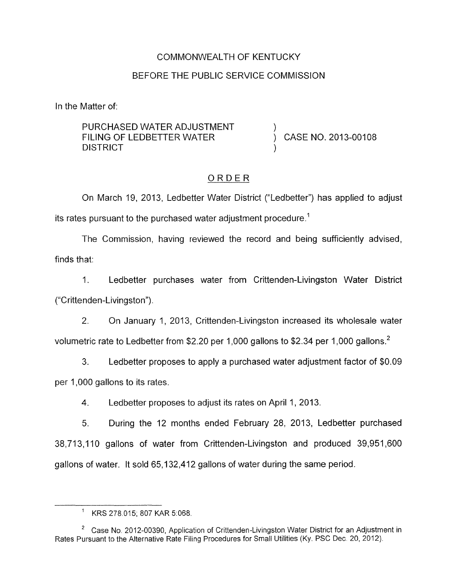### COMMONWEALTH OF KENTUCKY

## BEFORE THE PUBLIC SERVICE COMMISSION

In the Matter of:

PURCHASED WATER ADJUSTMENT **DISTRICT** FILING OF LEDBETTER WATER  $\overrightarrow{)}$  CASE NO. 2013-00108

## ORDER

On March 19, 2013, Ledbetter Water District ("Ledbetter") has applied to adjust its rates pursuant to the purchased water adjustment procedure.<sup>1</sup>

The Commission, having reviewed the record and being sufficiently advised, finds that:

1. Ledbetter purchases water from Crittenden-Livingston Water District ("Crittenden-Livingston").

2. On January 1, 2013, Crittenden-Livingston increased its wholesale water volumetric rate to Ledbetter from \$2.20 per 1,000 gallons to \$2.34 per 1,000 gallons.<sup>2</sup>

3. Ledbetter proposes to apply a purchased water adjustment factor of \$0.09 per 1,000 gallons to its rates.

4. Ledbetter proposes to adjust its rates on April 1, 2013.

5. During the 12 months ended February 28, 2013, Ledbetter purchased 38,713,110 gallons of water from Crittenden-Livingston and produced 39,951,600 gallons of water. It sold 65,132,412 gallons of water during the same period

 $1$  KRS 278.015; 807 KAR 5:068.

<sup>&</sup>lt;sup>2</sup> Case No. 2012-00390, Application of Crittenden-Livingston Water District for an Adjustment in Rates Pursuant to the Alternative Rate Filing Procedures for Small Utilities (Ky. PSC Dec. 20, 2012).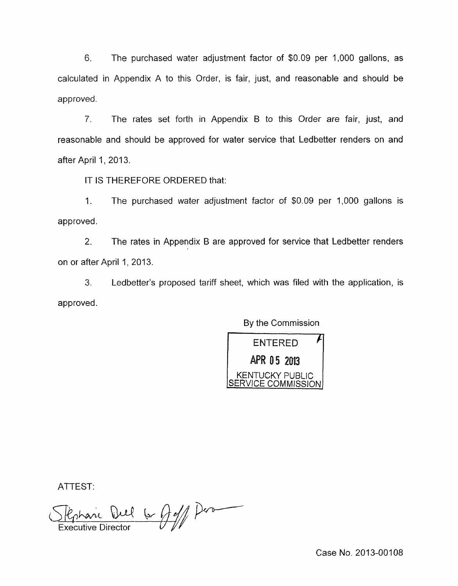6. The purchased water adjustment factor of \$0.09 per 1,000 gallons, as calculated in Appendix A to this Order, is fair, just, and reasonable and should be approved.

7. The rates set forth in Appendix B to this Order are fair, just, and reasonable and should be approved for water service that Ledbetter renders on and after April 1, 2013.

IT IS THEREFORE ORDERED that:

1. The purchased water adjustment factor of \$0.09 per 1,000 gallons is approved.

2. The rates in Appendix B are approved for service that Ledbetter renders on or after April 1, 2013.

**3.** Ledbetter's proposed tariff sheet, which was filed with the application, is approved

By the Commission



ATTEST:

ATTEST:<br>Chenail Dull 6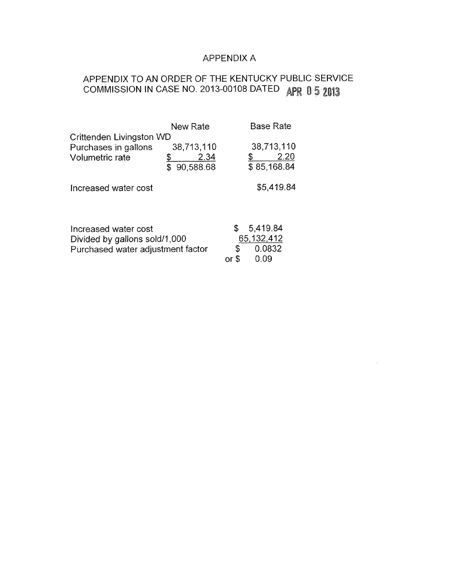## APPENDIX A

## APPENDIX TO AN ORDER OF THE KENTUCKY PUBLIC SERVICE COMMISSION IN CASE NO. 2013-00108 DATED APR 0 5 2013

|                                                                                            | New Rate                |                              | <b>Base Rate</b>    |
|--------------------------------------------------------------------------------------------|-------------------------|------------------------------|---------------------|
| Crittenden Livingston WD                                                                   |                         |                              |                     |
| Purchases in gallons                                                                       | 38,713,110              |                              | 38,713,110          |
| Volumetric rate                                                                            | 2.34<br>90,588.68<br>S. |                              | 2.20<br>\$85,168.84 |
| Increased water cost                                                                       |                         | \$5,419.84                   |                     |
|                                                                                            |                         |                              |                     |
| Increased water cost<br>Divided by gallons sold/1,000<br>Purchased water adjustment factor |                         | 5,419.84<br>\$<br>65,132,412 |                     |
|                                                                                            |                         | S                            | 0.0832              |
|                                                                                            |                         | or                           | 0.09                |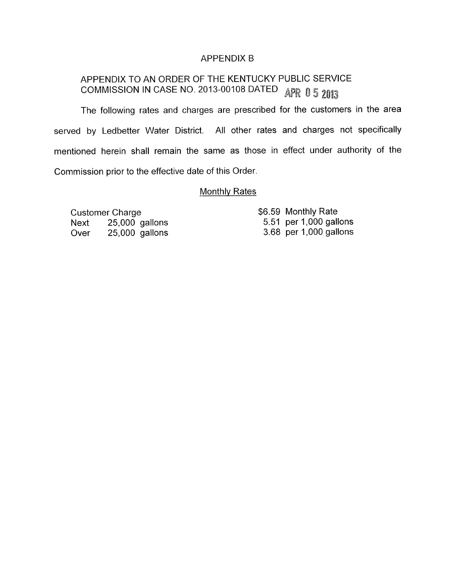### APPENDIX B

# APPENDIX TO AN ORDER OF THE KENTUCKY PUBLIC SERVICE *3* **d**  COMMISSION IN CASE NO. 2013-00108 DATED

The following rates and charges are prescribed for the customers in the area served by Ledbetter Water District. All other rates and charges not specifically mentioned herein shall remain the same as those in effect under authority of the Commission prior to the effective date of this Order.

#### Monthly Rates

Customer Charge Next 25,000 gallons Over 25,000 gallons

\$6.59 Monthly Rate 5.51 per 1,000 gallons 3.68 per 1,000 gallons